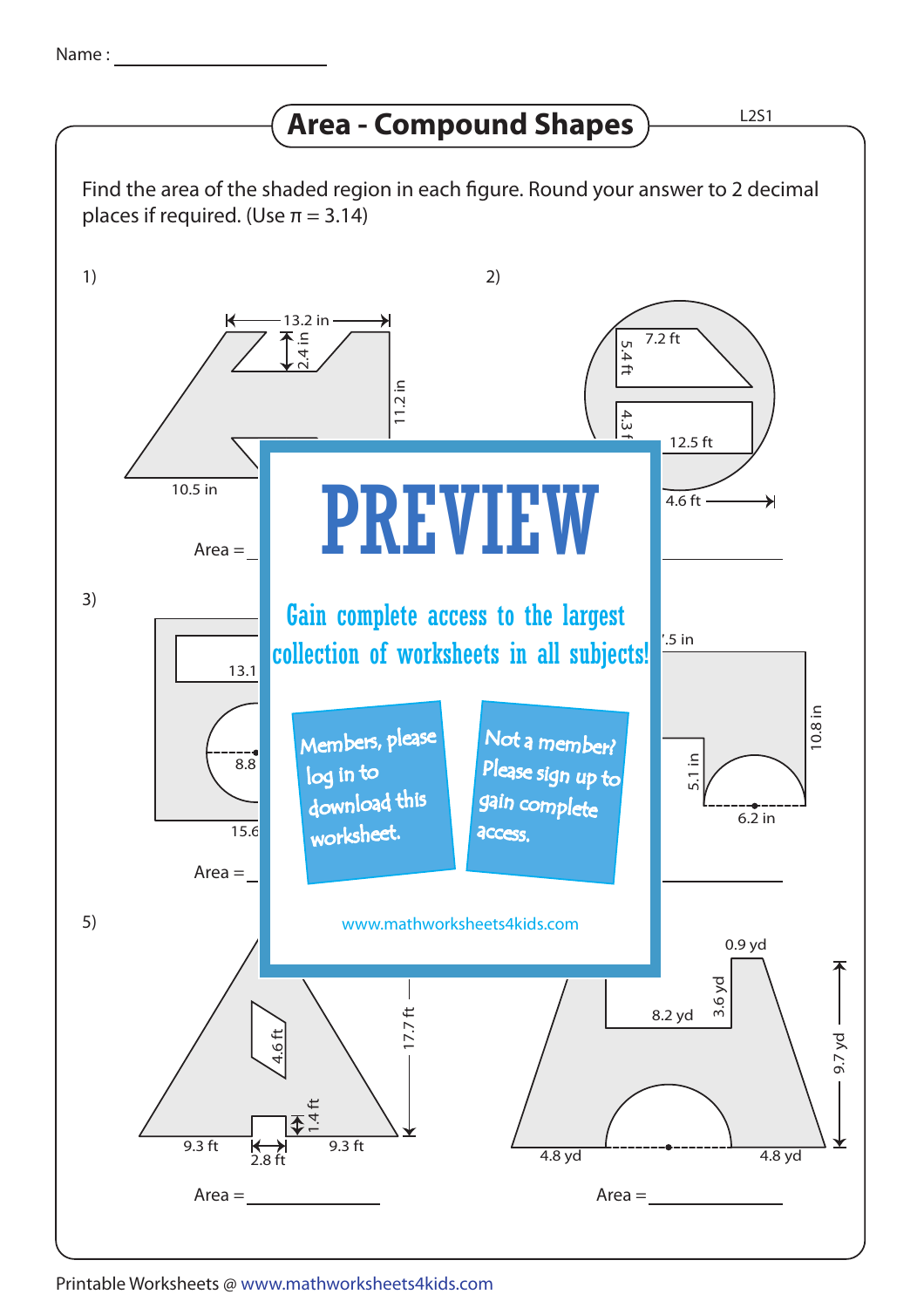## **Area - Compound Shapes**

Find the area of the shaded region in each figure. Round your answer to 2 decimal places if required. (Use  $\pi = 3.14$ ) 1) 2) 13.2 in  $7.2$  ft 2.4 in 5.4 ft11.2 in  $\frac{4.3}{4.3}$ 12.5 ft 2.4 in 10.5 in PREVIEW  $4.6$  ft - $\overline{\mathbf{H}}$  $Area =$ 3) Gain complete access to the largest  $.5$  in collection of worksheets in all subjects!  $13.1$ .<br>Members, please 10.8 in Not a member? Please sign up to  $\equiv$  $8.8$ log in to download this gain complete<br>- $6.\overline{2}$  in worksheet.  $15.6$ access.  $Area =$ Area = 5) 6) www.mathworksheets4kids.com 0.9 yd 3.6 yd 8.2 yd 17.7 ft 9.7 yd 4.6 ft  $1.4$  ft 9.3 ft  $\leftrightarrow$  9.3 ft 4.8 yd 4.8 yd 2.8 ft  $Area =$ Area =

Printable Worksheets @ www.mathworksheets4kids.com